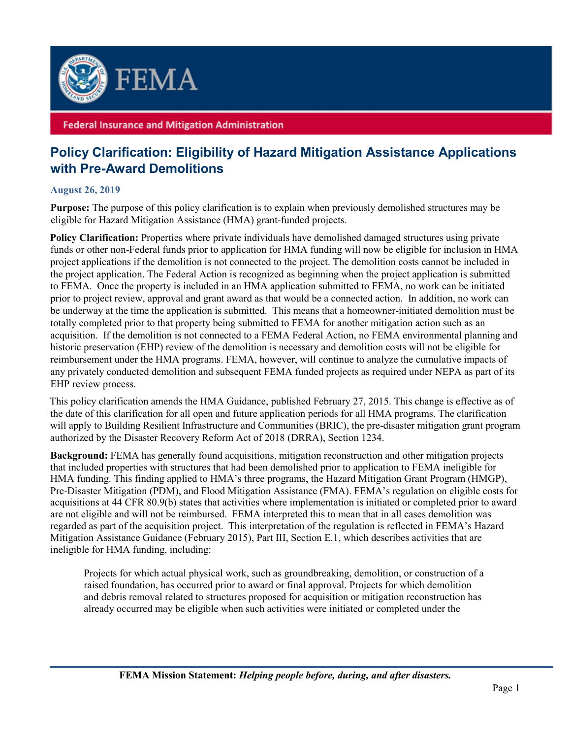

## **Federal Insurance and Mitigation Administration**

## **Policy Clarification: Eligibility of Hazard Mitigation Assistance Applications with Pre-Award Demolitions**

## **August 26, 2019**

**Purpose:** The purpose of this policy clarification is to explain when previously demolished structures may be eligible for Hazard Mitigation Assistance (HMA) grant-funded projects.

**Policy Clarification:** Properties where private individuals have demolished damaged structures using private funds or other non-Federal funds prior to application for HMA funding will now be eligible for inclusion in HMA project applications if the demolition is not connected to the project. The demolition costs cannot be included in the project application. The Federal Action is recognized as beginning when the project application is submitted to FEMA. Once the property is included in an HMA application submitted to FEMA, no work can be initiated prior to project review, approval and grant award as that would be a connected action. In addition, no work can be underway at the time the application is submitted. This means that a homeowner-initiated demolition must be totally completed prior to that property being submitted to FEMA for another mitigation action such as an acquisition. If the demolition is not connected to a FEMA Federal Action, no FEMA environmental planning and historic preservation (EHP) review of the demolition is necessary and demolition costs will not be eligible for reimbursement under the HMA programs. FEMA, however, will continue to analyze the cumulative impacts of any privately conducted demolition and subsequent FEMA funded projects as required under NEPA as part of its EHP review process.

This policy clarification amends the HMA Guidance, published February 27, 2015. This change is effective as of the date of this clarification for all open and future application periods for all HMA programs. The clarification will apply to Building Resilient Infrastructure and Communities (BRIC), the pre-disaster mitigation grant program authorized by the Disaster Recovery Reform Act of 2018 (DRRA), Section 1234.

**Background:** FEMA has generally found acquisitions, mitigation reconstruction and other mitigation projects that included properties with structures that had been demolished prior to application to FEMA ineligible for HMA funding. This finding applied to HMA's three programs, the Hazard Mitigation Grant Program (HMGP), Pre-Disaster Mitigation (PDM), and Flood Mitigation Assistance (FMA). FEMA's regulation on eligible costs for acquisitions at 44 CFR 80.9(b) states that activities where implementation is initiated or completed prior to award are not eligible and will not be reimbursed. FEMA interpreted this to mean that in all cases demolition was regarded as part of the acquisition project. This interpretation of the regulation is reflected in FEMA's Hazard Mitigation Assistance Guidance (February 2015), Part III, Section E.1, which describes activities that are ineligible for HMA funding, including:

Projects for which actual physical work, such as groundbreaking, demolition, or construction of a raised foundation, has occurred prior to award or final approval. Projects for which demolition and debris removal related to structures proposed for acquisition or mitigation reconstruction has already occurred may be eligible when such activities were initiated or completed under the